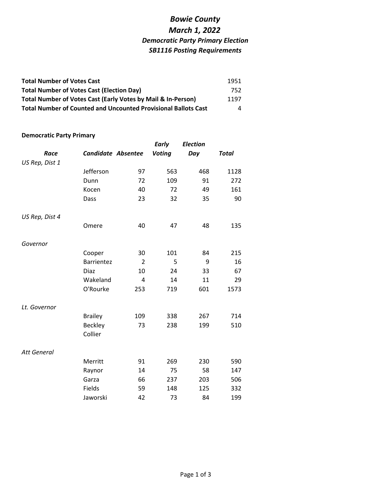| <b>Total Number of Votes Cast</b>                                     | 1951 |
|-----------------------------------------------------------------------|------|
| <b>Total Number of Votes Cast (Election Day)</b>                      | 752  |
| Total Number of Votes Cast (Early Votes by Mail & In-Person)          | 1197 |
| <b>Total Number of Counted and Uncounted Provisional Ballots Cast</b> | 4    |

#### **Democratic Party Primary**

|                    |                           |                | <b>Early</b>  | <b>Election</b> |              |
|--------------------|---------------------------|----------------|---------------|-----------------|--------------|
| Race               | <b>Candidate Absentee</b> |                | <b>Voting</b> | Day             | <b>Total</b> |
| US Rep, Dist 1     |                           |                |               |                 |              |
|                    | Jefferson                 | 97             | 563           | 468             | 1128         |
|                    | Dunn                      | 72             | 109           | 91              | 272          |
|                    | Kocen                     | 40             | 72            | 49              | 161          |
|                    | Dass                      | 23             | 32            | 35              | 90           |
|                    |                           |                |               |                 |              |
| US Rep, Dist 4     |                           |                |               |                 |              |
|                    | Omere                     | 40             | 47            | 48              | 135          |
|                    |                           |                |               |                 |              |
| Governor           |                           |                |               |                 |              |
|                    | Cooper                    | 30             | 101           | 84              | 215          |
|                    | <b>Barrientez</b>         | $\overline{2}$ | 5             | 9               | 16           |
|                    | Diaz                      | 10             | 24            | 33              | 67           |
|                    | Wakeland                  | $\overline{4}$ | 14            | 11              | 29           |
|                    | O'Rourke                  | 253            | 719           | 601             | 1573         |
| Lt. Governor       |                           |                |               |                 |              |
|                    | <b>Brailey</b>            | 109            | 338           | 267             | 714          |
|                    | <b>Beckley</b>            | 73             | 238           | 199             | 510          |
|                    | Collier                   |                |               |                 |              |
|                    |                           |                |               |                 |              |
| <b>Att General</b> |                           |                |               |                 |              |
|                    | Merritt                   | 91             | 269           | 230             | 590          |
|                    | Raynor                    | 14             | 75            | 58              | 147          |
|                    | Garza                     | 66             | 237           | 203             | 506          |
|                    | Fields                    | 59             | 148           | 125             | 332          |
|                    | Jaworski                  | 42             | 73            | 84              | 199          |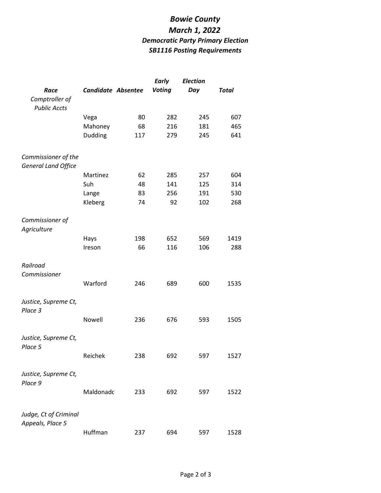|                                                   |                           |     | <b>Early</b>  | <b>Election</b> |              |
|---------------------------------------------------|---------------------------|-----|---------------|-----------------|--------------|
| Race                                              | <b>Candidate Absentee</b> |     | <b>Voting</b> | Day             | <b>Total</b> |
| Comptroller of<br><b>Public Accts</b>             |                           |     |               |                 |              |
|                                                   | Vega                      | 80  | 282           | 245             | 607          |
|                                                   | Mahoney                   | 68  | 216           | 181             | 465          |
|                                                   | Dudding                   | 117 | 279           | 245             | 641          |
| Commissioner of the<br><b>General Land Office</b> |                           |     |               |                 |              |
|                                                   | Martinez                  | 62  | 285           | 257             | 604          |
|                                                   | Suh                       | 48  | 141           | 125             | 314          |
|                                                   | Lange                     | 83  | 256           | 191             | 530          |
|                                                   | Kleberg                   | 74  | 92            | 102             | 268          |
| Commissioner of<br>Agriculture                    |                           |     |               |                 |              |
|                                                   | Hays                      | 198 | 652           | 569             | 1419         |
|                                                   | Ireson                    | 66  | 116           | 106             | 288          |
| Railroad<br>Commissioner                          |                           |     |               |                 |              |
|                                                   | Warford                   | 246 | 689           | 600             | 1535         |
| Justice, Supreme Ct,<br>Place 3                   |                           |     |               |                 |              |
|                                                   | Nowell                    | 236 | 676           | 593             | 1505         |
| Justice, Supreme Ct,<br>Place 5                   |                           |     |               |                 |              |
|                                                   | Reichek                   | 238 | 692           | 597             | 1527         |
| Justice, Supreme Ct,<br>Place 9                   |                           |     |               |                 |              |
|                                                   | Maldonadc                 | 233 | 692           | 597             | 1522         |
| Judge, Ct of Criminal<br>Appeals, Place 5         |                           |     |               |                 |              |
|                                                   | Huffman                   | 237 | 694           | 597             | 1528         |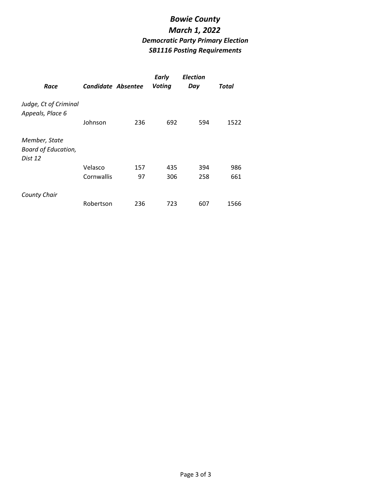| Race                                                   | Candidate Absentee |     | <b>Early</b><br><b>Voting</b> | <b>Election</b><br>Day | Total |
|--------------------------------------------------------|--------------------|-----|-------------------------------|------------------------|-------|
| Judge, Ct of Criminal<br>Appeals, Place 6              | Johnson            | 236 | 692                           | 594                    | 1522  |
| Member, State<br><b>Board of Education,</b><br>Dist 12 |                    |     |                               |                        |       |
|                                                        | Velasco            | 157 | 435                           | 394                    | 986   |
|                                                        | Cornwallis         | 97  | 306                           | 258                    | 661   |
| <b>County Chair</b>                                    |                    |     |                               |                        |       |
|                                                        | Robertson          | 236 | 723                           | 607                    | 1566  |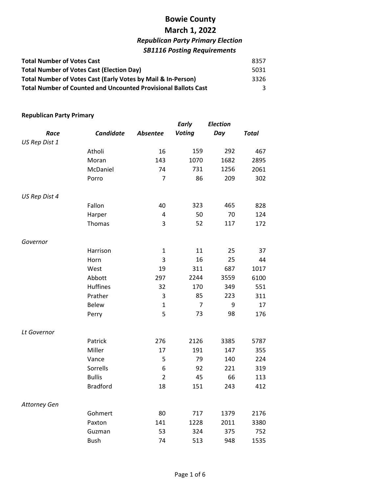| <b>Total Number of Votes Cast</b>                                     | 8357 |
|-----------------------------------------------------------------------|------|
| <b>Total Number of Votes Cast (Election Day)</b>                      | 5031 |
| Total Number of Votes Cast (Early Votes by Mail & In-Person)          | 3326 |
| <b>Total Number of Counted and Uncounted Provisional Ballots Cast</b> |      |

#### **Republican Party Primary**

|               |                  |                 | <b>Early</b>   | <b>Election</b> |              |
|---------------|------------------|-----------------|----------------|-----------------|--------------|
| Race          | <b>Candidate</b> | <b>Absentee</b> | <b>Voting</b>  | Day             | <b>Total</b> |
| US Rep Dist 1 |                  |                 |                |                 |              |
|               | Atholi           | 16              | 159            | 292             | 467          |
|               | Moran            | 143             | 1070           | 1682            | 2895         |
|               | McDaniel         | 74              | 731            | 1256            | 2061         |
|               | Porro            | $\overline{7}$  | 86             | 209             | 302          |
| US Rep Dist 4 |                  |                 |                |                 |              |
|               | Fallon           | 40              | 323            | 465             | 828          |
|               | Harper           | $\overline{4}$  | 50             | 70              | 124          |
|               | Thomas           | 3               | 52             | 117             | 172          |
| Governor      |                  |                 |                |                 |              |
|               | Harrison         | $\mathbf{1}$    | 11             | 25              | 37           |
|               | Horn             | 3               | 16             | 25              | 44           |
|               | West             | 19              | 311            | 687             | 1017         |
|               | Abbott           | 297             | 2244           | 3559            | 6100         |
|               | <b>Huffines</b>  | 32              | 170            | 349             | 551          |
|               | Prather          | 3               | 85             | 223             | 311          |
|               | <b>Belew</b>     | $\mathbf{1}$    | $\overline{7}$ | 9               | 17           |
|               | Perry            | 5               | 73             | 98              | 176          |
| Lt Governor   |                  |                 |                |                 |              |
|               | Patrick          | 276             | 2126           | 3385            | 5787         |
|               | Miller           | 17              | 191            | 147             | 355          |
|               | Vance            | 5               | 79             | 140             | 224          |
|               | Sorrells         | 6               | 92             | 221             | 319          |
|               | <b>Bullis</b>    | $\overline{2}$  | 45             | 66              | 113          |
|               | <b>Bradford</b>  | 18              | 151            | 243             | 412          |
| Attorney Gen  |                  |                 |                |                 |              |
|               | Gohmert          | 80              | 717            | 1379            | 2176         |
|               | Paxton           | 141             | 1228           | 2011            | 3380         |
|               | Guzman           | 53              | 324            | 375             | 752          |
|               | <b>Bush</b>      | 74              | 513            | 948             | 1535         |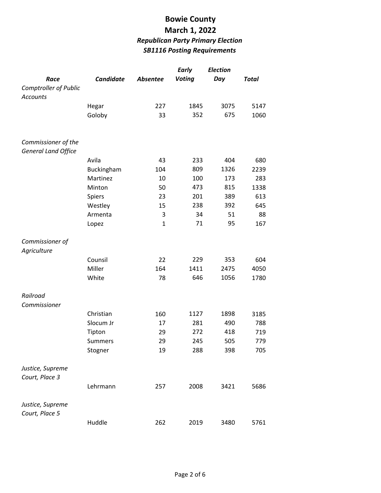|                                                   |                  |              | <b>Early</b>  | <b>Election</b> |              |
|---------------------------------------------------|------------------|--------------|---------------|-----------------|--------------|
| Race                                              | <b>Candidate</b> | Absentee     | <b>Voting</b> | Day             | <b>Total</b> |
| Comptroller of Public<br><b>Accounts</b>          |                  |              |               |                 |              |
|                                                   | Hegar            | 227          | 1845          | 3075            | 5147         |
|                                                   | Goloby           | 33           | 352           | 675             | 1060         |
| Commissioner of the<br><b>General Land Office</b> |                  |              |               |                 |              |
|                                                   | Avila            | 43           | 233           | 404             | 680          |
|                                                   | Buckingham       | 104          | 809           | 1326            | 2239         |
|                                                   | Martinez         | 10           | 100           | 173             | 283          |
|                                                   | Minton           | 50           | 473           | 815             | 1338         |
|                                                   | Spiers           | 23           | 201           | 389             | 613          |
|                                                   | Westley          | 15           | 238           | 392             | 645          |
|                                                   | Armenta          | 3            | 34            | 51              | 88           |
|                                                   | Lopez            | $\mathbf{1}$ | 71            | 95              | 167          |
| Commissioner of<br>Agriculture                    |                  |              |               |                 |              |
|                                                   | Counsil          | 22           | 229           | 353             | 604          |
|                                                   | Miller           | 164          | 1411          | 2475            | 4050         |
|                                                   | White            | 78           | 646           | 1056            | 1780         |
| Railroad<br>Commissioner                          |                  |              |               |                 |              |
|                                                   | Christian        | 160          | 1127          | 1898            | 3185         |
|                                                   | Slocum Jr        | 17           | 281           | 490             | 788          |
|                                                   | Tipton           | 29           | 272           | 418             | 719          |
|                                                   | <b>Summers</b>   | 29           | 245           | 505             | 779          |
|                                                   | Stogner          | 19           | 288           | 398             | 705          |
| Justice, Supreme<br>Court, Place 3                |                  |              |               |                 |              |
|                                                   | Lehrmann         | 257          | 2008          | 3421            | 5686         |
| Justice, Supreme<br>Court, Place 5                |                  |              |               |                 |              |
|                                                   | Huddle           | 262          | 2019          | 3480            | 5761         |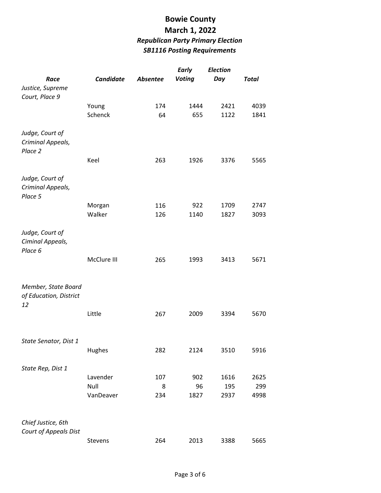|                        |             |                 | <b>Early</b>  | <b>Election</b> |              |
|------------------------|-------------|-----------------|---------------|-----------------|--------------|
| Race                   | Candidate   | <b>Absentee</b> | <b>Voting</b> | Day             | <b>Total</b> |
| Justice, Supreme       |             |                 |               |                 |              |
| Court, Place 9         |             |                 |               |                 |              |
|                        | Young       | 174             | 1444          | 2421            | 4039         |
|                        | Schenck     | 64              | 655           | 1122            | 1841         |
|                        |             |                 |               |                 |              |
| Judge, Court of        |             |                 |               |                 |              |
| Criminal Appeals,      |             |                 |               |                 |              |
| Place 2                |             |                 |               |                 |              |
|                        | Keel        | 263             | 1926          | 3376            | 5565         |
|                        |             |                 |               |                 |              |
| Judge, Court of        |             |                 |               |                 |              |
| Criminal Appeals,      |             |                 |               |                 |              |
| Place 5                |             |                 |               |                 |              |
|                        | Morgan      | 116             | 922           | 1709            | 2747         |
|                        | Walker      | 126             | 1140          | 1827            | 3093         |
|                        |             |                 |               |                 |              |
| Judge, Court of        |             |                 |               |                 |              |
| Ciminal Appeals,       |             |                 |               |                 |              |
| Place 6                |             |                 |               |                 |              |
|                        | McClure III | 265             | 1993          | 3413            | 5671         |
|                        |             |                 |               |                 |              |
| Member, State Board    |             |                 |               |                 |              |
| of Education, District |             |                 |               |                 |              |
| 12                     |             |                 |               |                 |              |
|                        | Little      | 267             | 2009          | 3394            | 5670         |
|                        |             |                 |               |                 |              |
|                        |             |                 |               |                 |              |
| State Senator, Dist 1  |             |                 |               |                 |              |
|                        | Hughes      | 282             | 2124          | 3510            | 5916         |
|                        |             |                 |               |                 |              |
| State Rep, Dist 1      |             |                 |               |                 |              |
|                        | Lavender    | 107             | 902           | 1616            | 2625         |
|                        | Null        | 8               | 96            | 195             | 299          |
|                        | VanDeaver   | 234             | 1827          | 2937            | 4998         |
|                        |             |                 |               |                 |              |
|                        |             |                 |               |                 |              |
| Chief Justice, 6th     |             |                 |               |                 |              |
| Court of Appeals Dist  |             |                 |               |                 |              |
|                        | Stevens     | 264             | 2013          | 3388            | 5665         |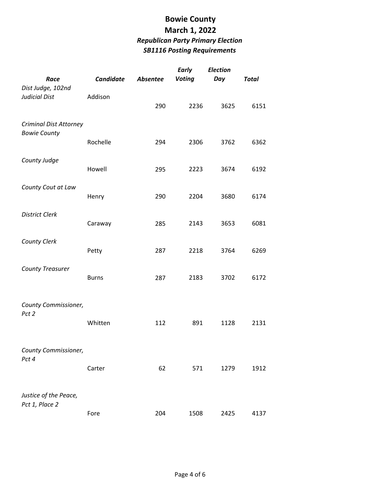| Race                                                 | <b>Candidate</b> | Absentee | <b>Early</b><br><b>Voting</b> | <b>Election</b><br>Day | <b>Total</b> |
|------------------------------------------------------|------------------|----------|-------------------------------|------------------------|--------------|
| Dist Judge, 102nd<br><b>Judicial Dist</b>            | Addison          | 290      | 2236                          | 3625                   | 6151         |
| <b>Criminal Dist Attorney</b><br><b>Bowie County</b> | Rochelle         | 294      | 2306                          | 3762                   | 6362         |
| County Judge                                         | Howell           | 295      | 2223                          | 3674                   | 6192         |
| County Cout at Law                                   | Henry            | 290      | 2204                          | 3680                   | 6174         |
| <b>District Clerk</b>                                | Caraway          | 285      | 2143                          | 3653                   | 6081         |
| <b>County Clerk</b>                                  | Petty            | 287      | 2218                          | 3764                   | 6269         |
| <b>County Treasurer</b>                              | <b>Burns</b>     | 287      | 2183                          | 3702                   | 6172         |
| County Commissioner,<br>Pct 2                        | Whitten          | 112      | 891                           | 1128                   | 2131         |
| County Commissioner,<br>Pct 4                        | Carter           | 62       | 571                           | 1279                   | 1912         |
| Justice of the Peace,<br>Pct 1, Place 2              | Fore             | 204      | 1508                          | 2425                   | 4137         |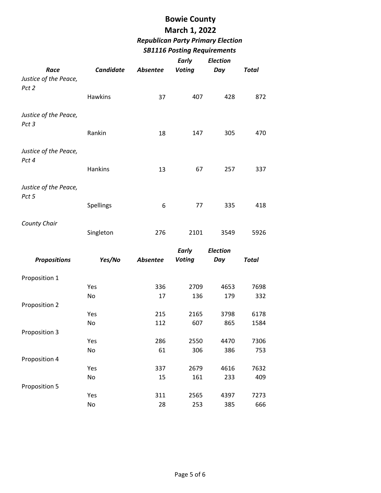# **Bowie County**

## **March 1, 2022** *Republican Party Primary Election*

#### *SB1116 Posting Requirements*

|                                |           |                 | <b>Early</b>  | <b>Election</b> |              |
|--------------------------------|-----------|-----------------|---------------|-----------------|--------------|
| Race                           | Candidate | Absentee        | <b>Voting</b> | Day             | <b>Total</b> |
| Justice of the Peace,<br>Pct 2 |           |                 |               |                 |              |
|                                | Hawkins   | 37              | 407           | 428             | 872          |
|                                |           |                 |               |                 |              |
| Justice of the Peace,<br>Pct 3 | Rankin    | 18              | 147           | 305             | 470          |
|                                |           |                 |               |                 |              |
| Justice of the Peace,<br>Pct 4 |           |                 |               |                 |              |
|                                | Hankins   | 13              | 67            | 257             | 337          |
| Justice of the Peace,          |           |                 |               |                 |              |
| Pct 5                          |           |                 |               |                 |              |
|                                | Spellings | 6               | 77            | 335             | 418          |
|                                |           |                 |               |                 |              |
| <b>County Chair</b>            |           |                 |               |                 |              |
|                                | Singleton | 276             | 2101          | 3549            | 5926         |
|                                |           |                 | Early         | <b>Election</b> |              |
| <b>Propositions</b>            | Yes/No    | <b>Absentee</b> | <b>Voting</b> | Day             | <b>Total</b> |
|                                |           |                 |               |                 |              |
|                                |           |                 |               |                 |              |
| Proposition 1                  |           |                 |               |                 |              |
|                                | Yes       | 336             | 2709          | 4653            | 7698         |
|                                | No        | 17              | 136           | 179             | 332          |
| Proposition 2                  |           |                 |               |                 |              |
|                                | Yes       | 215             | 2165          | 3798            | 6178         |
|                                | No        | 112             | 607           | 865             | 1584         |
| Proposition 3                  |           |                 |               |                 |              |
|                                | Yes       | 286             | 2550          | 4470            | 7306         |
|                                | No        | 61              | 306           | 386             | 753          |
| Proposition 4                  |           |                 |               |                 |              |
|                                | Yes       | 337             | 2679          | 4616            | 7632         |
|                                | No        | 15              | 161           | 233             | 409          |
| Proposition 5                  |           |                 |               |                 |              |
|                                | Yes<br>No | 311<br>28       | 2565<br>253   | 4397<br>385     | 7273<br>666  |